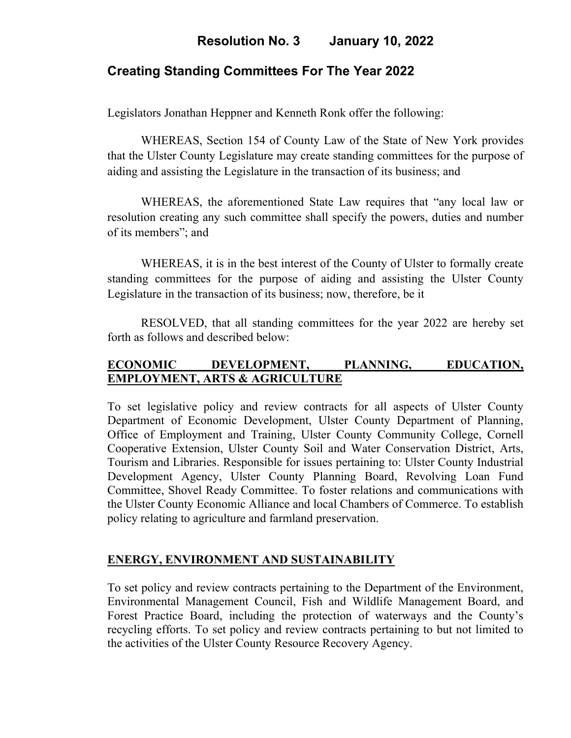# **Resolution No. 3 January 10, 2022**

### **Creating Standing Committees For The Year 2022**

Legislators Jonathan Heppner and Kenneth Ronk offer the following:

WHEREAS, Section 154 of County Law of the State of New York provides that the Ulster County Legislature may create standing committees for the purpose of aiding and assisting the Legislature in the transaction of its business; and

WHEREAS, the aforementioned State Law requires that "any local law or resolution creating any such committee shall specify the powers, duties and number of its members"; and

WHEREAS, it is in the best interest of the County of Ulster to formally create standing committees for the purpose of aiding and assisting the Ulster County Legislature in the transaction of its business; now, therefore, be it

RESOLVED, that all standing committees for the year 2022 are hereby set forth as follows and described below:

### **ECONOMIC DEVELOPMENT, PLANNING, EDUCATION, EMPLOYMENT, ARTS & AGRICULTURE**

To set legislative policy and review contracts for all aspects of Ulster County Department of Economic Development, Ulster County Department of Planning, Office of Employment and Training, Ulster County Community College, Cornell Cooperative Extension, Ulster County Soil and Water Conservation District, Arts, Tourism and Libraries. Responsible for issues pertaining to: Ulster County Industrial Development Agency, Ulster County Planning Board, Revolving Loan Fund Committee, Shovel Ready Committee. To foster relations and communications with the Ulster County Economic Alliance and local Chambers of Commerce. To establish policy relating to agriculture and farmland preservation.

#### **ENERGY, ENVIRONMENT AND SUSTAINABILITY**

To set policy and review contracts pertaining to the Department of the Environment, Environmental Management Council, Fish and Wildlife Management Board, and Forest Practice Board, including the protection of waterways and the County's recycling efforts. To set policy and review contracts pertaining to but not limited to the activities of the Ulster County Resource Recovery Agency.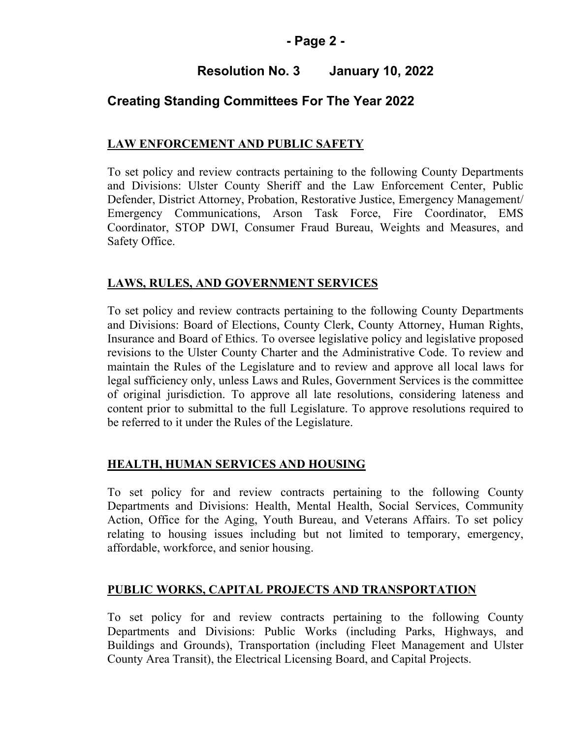### **- Page 2 -**

# **Resolution No. 3 January 10, 2022**

# **Creating Standing Committees For The Year 2022**

## **LAW ENFORCEMENT AND PUBLIC SAFETY**

To set policy and review contracts pertaining to the following County Departments and Divisions: Ulster County Sheriff and the Law Enforcement Center, Public Defender, District Attorney, Probation, Restorative Justice, Emergency Management/ Emergency Communications, Arson Task Force, Fire Coordinator, EMS Coordinator, STOP DWI, Consumer Fraud Bureau, Weights and Measures, and Safety Office.

### **LAWS, RULES, AND GOVERNMENT SERVICES**

To set policy and review contracts pertaining to the following County Departments and Divisions: Board of Elections, County Clerk, County Attorney, Human Rights, Insurance and Board of Ethics. To oversee legislative policy and legislative proposed revisions to the Ulster County Charter and the Administrative Code. To review and maintain the Rules of the Legislature and to review and approve all local laws for legal sufficiency only, unless Laws and Rules, Government Services is the committee of original jurisdiction. To approve all late resolutions, considering lateness and content prior to submittal to the full Legislature. To approve resolutions required to be referred to it under the Rules of the Legislature.

### **HEALTH, HUMAN SERVICES AND HOUSING**

To set policy for and review contracts pertaining to the following County Departments and Divisions: Health, Mental Health, Social Services, Community Action, Office for the Aging, Youth Bureau, and Veterans Affairs. To set policy relating to housing issues including but not limited to temporary, emergency, affordable, workforce, and senior housing.

### **PUBLIC WORKS, CAPITAL PROJECTS AND TRANSPORTATION**

To set policy for and review contracts pertaining to the following County Departments and Divisions: Public Works (including Parks, Highways, and Buildings and Grounds), Transportation (including Fleet Management and Ulster County Area Transit), the Electrical Licensing Board, and Capital Projects.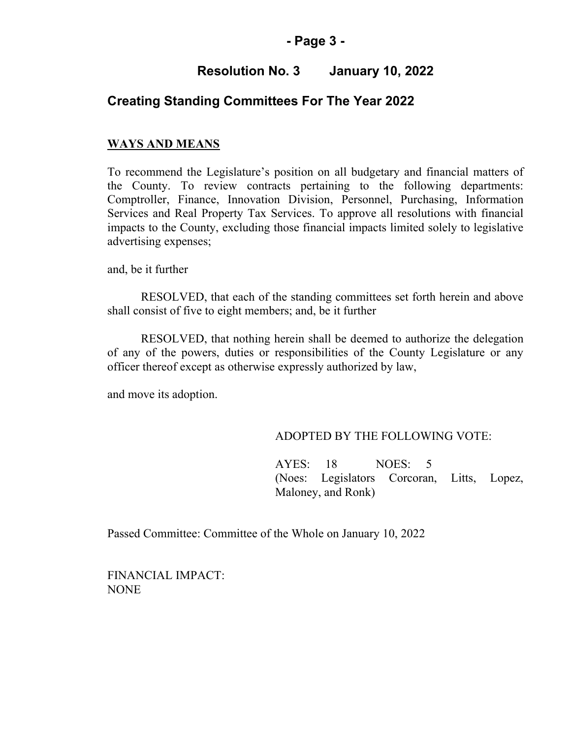#### **- Page 3 -**

# **Resolution No. 3 January 10, 2022**

## **Creating Standing Committees For The Year 2022**

#### **WAYS AND MEANS**

To recommend the Legislature's position on all budgetary and financial matters of the County. To review contracts pertaining to the following departments: Comptroller, Finance, Innovation Division, Personnel, Purchasing, Information Services and Real Property Tax Services. To approve all resolutions with financial impacts to the County, excluding those financial impacts limited solely to legislative advertising expenses;

and, be it further

RESOLVED, that each of the standing committees set forth herein and above shall consist of five to eight members; and, be it further

RESOLVED, that nothing herein shall be deemed to authorize the delegation of any of the powers, duties or responsibilities of the County Legislature or any officer thereof except as otherwise expressly authorized by law,

and move its adoption.

#### ADOPTED BY THE FOLLOWING VOTE:

AYES: 18 NOES: 5 (Noes: Legislators Corcoran, Litts, Lopez, Maloney, and Ronk)

Passed Committee: Committee of the Whole on January 10, 2022

FINANCIAL IMPACT: NONE